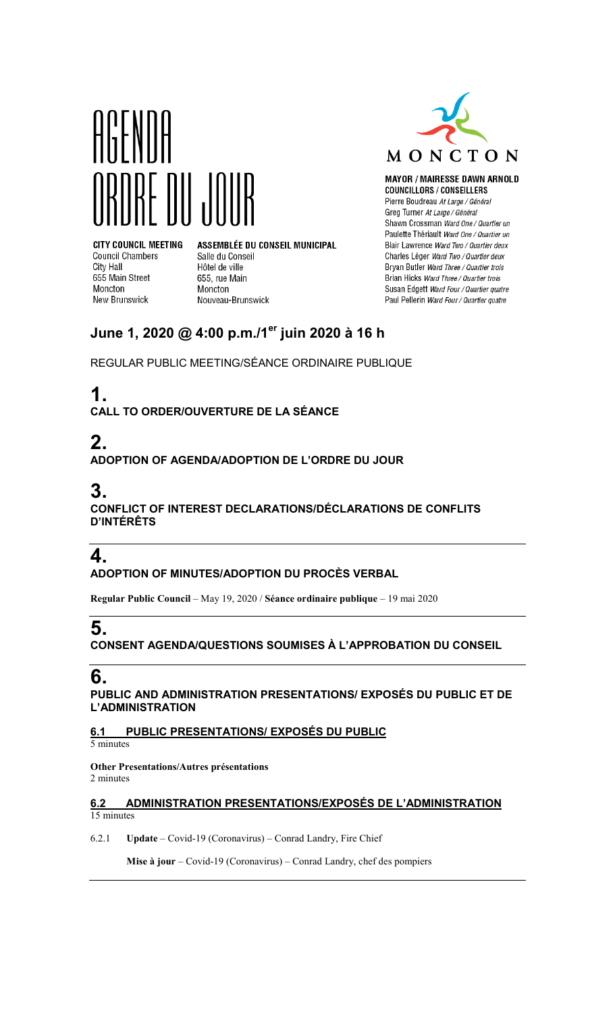



**MAYOR / MAIRESSE DAWN ARNOLD COUNCILLORS / CONSEILLERS** Pierre Boudreau At Large / Général Greg Turner At Large / Général Shawn Crossman Ward One / Quartier un Paulette Thériault Ward One / Quartier un Blair Lawrence Ward Two / Quartier deux Charles Léger Ward Two / Quartier deux Bryan Butler Ward Three / Quartier trois Brian Hicks Ward Three / Quartier trois Susan Edgett Ward Four / Quartier quatre Paul Pellerin Ward Four / Quartier quatre

**CITY COUNCIL MEETING Council Chambers** City Hall 655 Main Street Moncton **New Brunswick** 

ASSEMBLÉE DU CONSEIL MUNICIPAL Salle du Conseil Hôtel de ville 655, rue Main Moncton Nouveau-Brunswick

## **June 1, 2020 @ 4:00 p.m./1er juin 2020 à 16 h**

REGULAR PUBLIC MEETING/SÉANCE ORDINAIRE PUBLIQUE

# **1.**

**CALL TO ORDER/OUVERTURE DE LA SÉANCE**

## **2.**

**ADOPTION OF AGENDA/ADOPTION DE L'ORDRE DU JOUR**

## **3.**

**CONFLICT OF INTEREST DECLARATIONS/DÉCLARATIONS DE CONFLITS D'INTÉRÊTS**

## **4.**

**ADOPTION OF MINUTES/ADOPTION DU PROCÈS VERBAL**

**Regular Public Council** – May 19, 2020 / **Séance ordinaire publique** – 19 mai 2020

## **5.**

**CONSENT AGENDA/QUESTIONS SOUMISES À L'APPROBATION DU CONSEIL**

### **6.**

**PUBLIC AND ADMINISTRATION PRESENTATIONS/ EXPOSÉS DU PUBLIC ET DE L'ADMINISTRATION**

#### **6.1 PUBLIC PRESENTATIONS/ EXPOSÉS DU PUBLIC**

5 minutes

**Other Presentations/Autres présentations** 2 minutes

#### **6.2 ADMINISTRATION PRESENTATIONS/EXPOSÉS DE L'ADMINISTRATION** 15 minutes

6.2.1 **Update** – Covid-19 (Coronavirus) – Conrad Landry, Fire Chief

**Mise à jour** – Covid-19 (Coronavirus) – Conrad Landry, chef des pompiers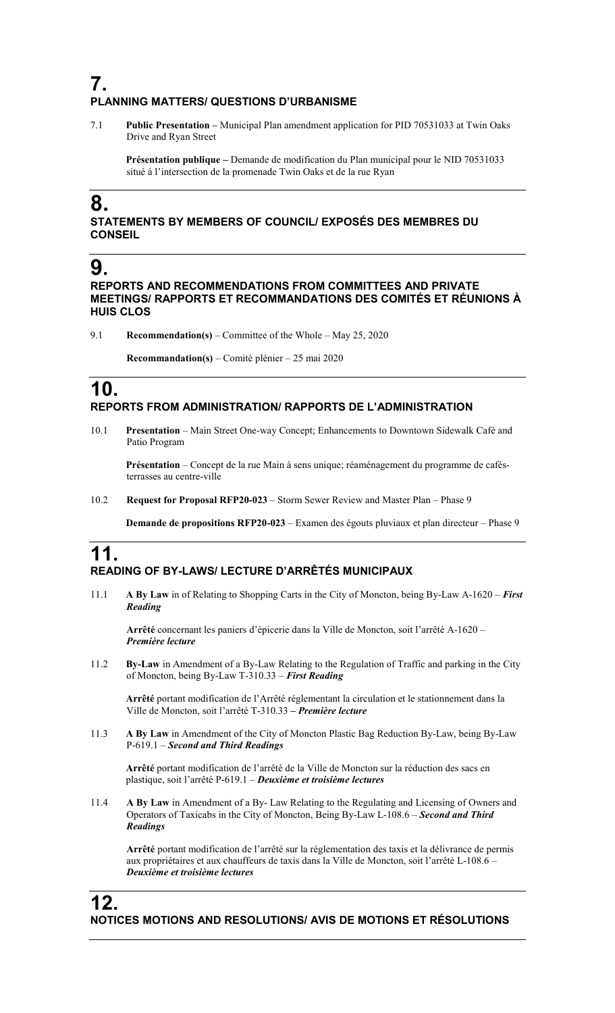### **7. PLANNING MATTERS/ QUESTIONS D'URBANISME**

7.1 **Public Presentation –** Municipal Plan amendment application for PID 70531033 at Twin Oaks Drive and Ryan Street

**Présentation publique –** Demande de modification du Plan municipal pour le NID 70531033 situé à l'intersection de la promenade Twin Oaks et de la rue Ryan

## **8.**

**STATEMENTS BY MEMBERS OF COUNCIL/ EXPOSÉS DES MEMBRES DU CONSEIL**

### **9.**

**REPORTS AND RECOMMENDATIONS FROM COMMITTEES AND PRIVATE MEETINGS/ RAPPORTS ET RECOMMANDATIONS DES COMITÉS ET RÉUNIONS À HUIS CLOS**

9.1 **Recommendation(s)** – Committee of the Whole – May 25, 2020

**Recommandation(s)** – Comité plénier – 25 mai 2020

### **10. REPORTS FROM ADMINISTRATION/ RAPPORTS DE L'ADMINISTRATION**

10.1 **Presentation** – Main Street One-way Concept; Enhancements to Downtown Sidewalk Café and Patio Program

**Présentation** – Concept de la rue Main à sens unique; réaménagement du programme de cafésterrasses au centre-ville

10.2 **Request for Proposal RFP20-023** – Storm Sewer Review and Master Plan – Phase 9

**Demande de propositions RFP20-023** – Examen des égouts pluviaux et plan directeur – Phase 9

### **11. READING OF BY-LAWS/ LECTURE D'ARRÊTÉS MUNICIPAUX**

11.1 **A By Law** in of Relating to Shopping Carts in the City of Moncton, being By-Law A-1620 – *First Reading*

**Arrêté** concernant les paniers d'épicerie dans la Ville de Moncton, soit l'arrêté A-1620 – *Première lecture*

11.2 **By-Law** in Amendment of a By-Law Relating to the Regulation of Traffic and parking in the City of Moncton, being By-Law T-310.33 – *First Reading*

**Arrêté** portant modification de l'Arrêté réglementant la circulation et le stationnement dans la Ville de Moncton, soit l'arrêté T-310.33 **–** *Première lecture*

11.3 **A By Law** in Amendment of the City of Moncton Plastic Bag Reduction By-Law, being By-Law P-619.1 – *Second and Third Readings*

**Arrêté** portant modification de l'arrêté de la Ville de Moncton sur la réduction des sacs en plastique, soit l'arrêté P-619.1 – *Deuxième et troisième lectures*

11.4 **A By Law** in Amendment of a By- Law Relating to the Regulating and Licensing of Owners and Operators of Taxicabs in the City of Moncton, Being By-Law L-108.6 – *Second and Third Readings*

**Arrêté** portant modification de l'arrêté sur la réglementation des taxis et la délivrance de permis aux propriétaires et aux chauffeurs de taxis dans la Ville de Moncton, soit l'arrêté L-108.6 – *Deuxième et troisième lectures*

### **12. NOTICES MOTIONS AND RESOLUTIONS/ AVIS DE MOTIONS ET RÉSOLUTIONS**